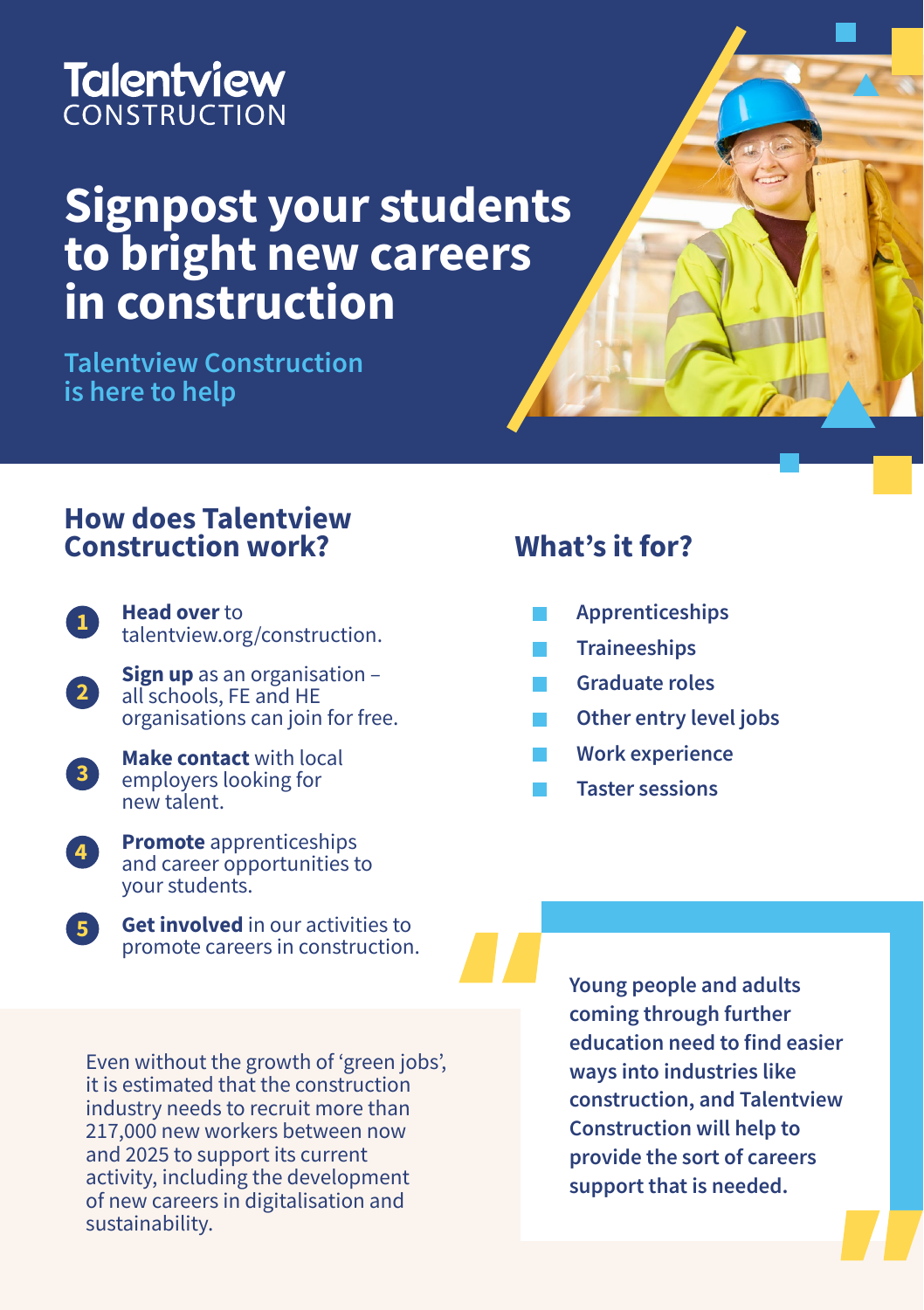## **Talentview** CONSTRUCTION

# **Signpost your students to bright new careers in construction**

**Talentview Construction is here to help** 

### **How does Talentview Construction work?**



**Head over** to [talentview.org/construction](http://talentview.org/construction).

**Sign up** as an organisation – all schools, FE and HE organisations can join for free. **2**



**5**

**Make contact** with local employers looking for new talent.



**Get involved** in our activities to promote careers in construction.

#### Even without the growth of 'green jobs', it is estimated that the construction industry needs to recruit more than 217,000 new workers between now and 2025 to support its current activity, including the development of new careers in digitalisation and sustainability.

**Young people and adults coming through further education need to find easier ways into industries like construction, and Talentview Construction will help to provide the sort of careers support that is needed.**

## **What's it for?**

- **Apprenticeships**
- **Traineeships**
- **Graduate roles**
- **Other entry level jobs**
- **Work experience**
- **Taster sessions**